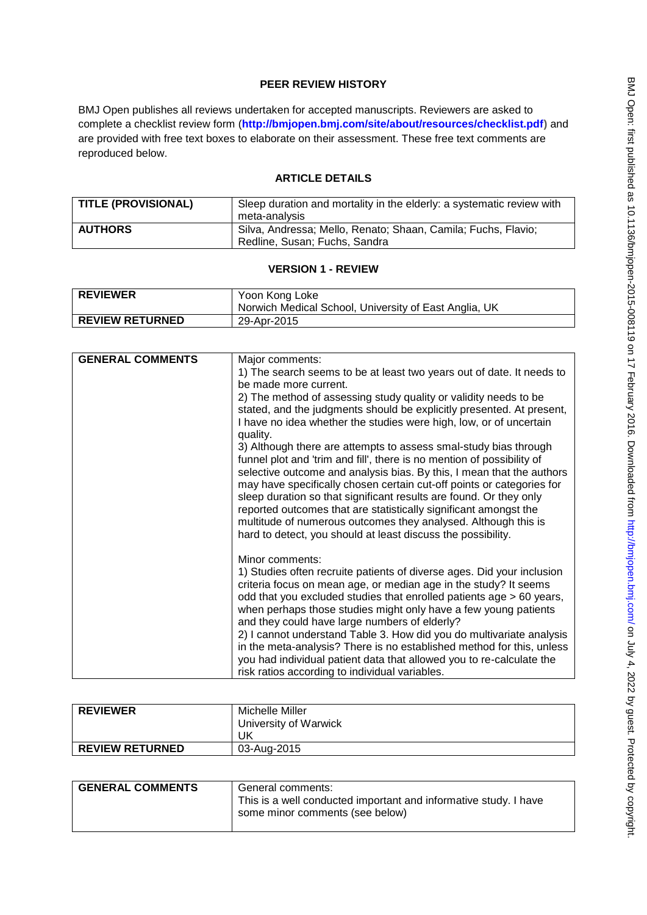## **PEER REVIEW HISTORY**

BMJ Open publishes all reviews undertaken for accepted manuscripts. Reviewers are asked to complete a checklist review form (**[http://bmjopen.bmj.com/site/about/resources/checklist.pdf\)](http://bmjopen.bmj.com/site/about/resources/checklist.pdf)** and are provided with free text boxes to elaborate on their assessment. These free text comments are reproduced below.

# **ARTICLE DETAILS**

| <b>TITLE (PROVISIONAL)</b> | Sleep duration and mortality in the elderly: a systematic review with<br>meta-analysis         |
|----------------------------|------------------------------------------------------------------------------------------------|
| <b>AUTHORS</b>             | Silva, Andressa; Mello, Renato; Shaan, Camila; Fuchs, Flavio;<br>Redline, Susan; Fuchs, Sandra |

## **VERSION 1 - REVIEW**

| <b>REVIEWER</b>        | Yoon Kong Loke<br>Norwich Medical School, University of East Anglia, UK |
|------------------------|-------------------------------------------------------------------------|
| <b>REVIEW RETURNED</b> | 29-Apr-2015                                                             |

| <b>GENERAL COMMENTS</b> | Major comments:<br>1) The search seems to be at least two years out of date. It needs to<br>be made more current.<br>2) The method of assessing study quality or validity needs to be<br>stated, and the judgments should be explicitly presented. At present,<br>I have no idea whether the studies were high, low, or of uncertain<br>quality.<br>3) Although there are attempts to assess smal-study bias through<br>funnel plot and 'trim and fill', there is no mention of possibility of<br>selective outcome and analysis bias. By this, I mean that the authors<br>may have specifically chosen certain cut-off points or categories for<br>sleep duration so that significant results are found. Or they only<br>reported outcomes that are statistically significant amongst the<br>multitude of numerous outcomes they analysed. Although this is<br>hard to detect, you should at least discuss the possibility. |
|-------------------------|------------------------------------------------------------------------------------------------------------------------------------------------------------------------------------------------------------------------------------------------------------------------------------------------------------------------------------------------------------------------------------------------------------------------------------------------------------------------------------------------------------------------------------------------------------------------------------------------------------------------------------------------------------------------------------------------------------------------------------------------------------------------------------------------------------------------------------------------------------------------------------------------------------------------------|
|                         | Minor comments:<br>1) Studies often recruite patients of diverse ages. Did your inclusion<br>criteria focus on mean age, or median age in the study? It seems<br>odd that you excluded studies that enrolled patients age > 60 years,<br>when perhaps those studies might only have a few young patients<br>and they could have large numbers of elderly?<br>2) I cannot understand Table 3. How did you do multivariate analysis<br>in the meta-analysis? There is no established method for this, unless<br>you had individual patient data that allowed you to re-calculate the<br>risk ratios according to individual variables.                                                                                                                                                                                                                                                                                         |

| <b>REVIEWER</b>        | Michelle Miller       |
|------------------------|-----------------------|
|                        | University of Warwick |
|                        | JK                    |
| <b>REVIEW RETURNED</b> | 03-Aug-2015           |

| <b>GENERAL COMMENTS</b> | General comments:<br>This is a well conducted important and informative study. I have<br>some minor comments (see below) |
|-------------------------|--------------------------------------------------------------------------------------------------------------------------|
|                         |                                                                                                                          |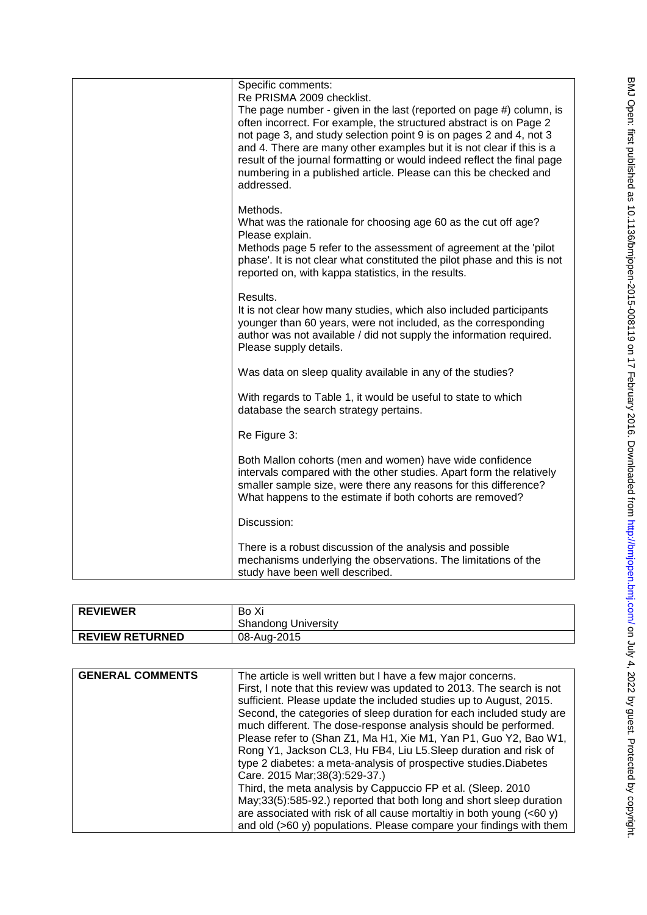| Specific comments:<br>Re PRISMA 2009 checklist.<br>The page number - given in the last (reported on page #) column, is<br>often incorrect. For example, the structured abstract is on Page 2<br>not page 3, and study selection point 9 is on pages 2 and 4, not 3<br>and 4. There are many other examples but it is not clear if this is a<br>result of the journal formatting or would indeed reflect the final page<br>numbering in a published article. Please can this be checked and<br>addressed. |
|----------------------------------------------------------------------------------------------------------------------------------------------------------------------------------------------------------------------------------------------------------------------------------------------------------------------------------------------------------------------------------------------------------------------------------------------------------------------------------------------------------|
| Methods.<br>What was the rationale for choosing age 60 as the cut off age?<br>Please explain.<br>Methods page 5 refer to the assessment of agreement at the 'pilot<br>phase'. It is not clear what constituted the pilot phase and this is not<br>reported on, with kappa statistics, in the results.                                                                                                                                                                                                    |
| Results.<br>It is not clear how many studies, which also included participants<br>younger than 60 years, were not included, as the corresponding<br>author was not available / did not supply the information required.<br>Please supply details.                                                                                                                                                                                                                                                        |
| Was data on sleep quality available in any of the studies?                                                                                                                                                                                                                                                                                                                                                                                                                                               |
| With regards to Table 1, it would be useful to state to which<br>database the search strategy pertains.                                                                                                                                                                                                                                                                                                                                                                                                  |
| Re Figure 3:                                                                                                                                                                                                                                                                                                                                                                                                                                                                                             |
| Both Mallon cohorts (men and women) have wide confidence<br>intervals compared with the other studies. Apart form the relatively<br>smaller sample size, were there any reasons for this difference?<br>What happens to the estimate if both cohorts are removed?                                                                                                                                                                                                                                        |
| Discussion:                                                                                                                                                                                                                                                                                                                                                                                                                                                                                              |
| There is a robust discussion of the analysis and possible<br>mechanisms underlying the observations. The limitations of the<br>study have been well described.                                                                                                                                                                                                                                                                                                                                           |

| <b>REVIEWER</b>        | Bo Xi                      |
|------------------------|----------------------------|
|                        | <b>Shandong University</b> |
| <b>REVIEW RETURNED</b> | 08-Aug-2015                |
|                        |                            |

| <b>GENERAL COMMENTS</b> | The article is well written but I have a few major concerns.<br>First, I note that this review was updated to 2013. The search is not<br>sufficient. Please update the included studies up to August, 2015.<br>Second, the categories of sleep duration for each included study are<br>much different. The dose-response analysis should be performed.<br>Please refer to (Shan Z1, Ma H1, Xie M1, Yan P1, Guo Y2, Bao W1,<br>Rong Y1, Jackson CL3, Hu FB4, Liu L5. Sleep duration and risk of<br>type 2 diabetes: a meta-analysis of prospective studies. Diabetes<br>Care. 2015 Mar; 38(3): 529-37.)<br>Third, the meta analysis by Cappuccio FP et al. (Sleep. 2010)<br>May;33(5):585-92.) reported that both long and short sleep duration |
|-------------------------|------------------------------------------------------------------------------------------------------------------------------------------------------------------------------------------------------------------------------------------------------------------------------------------------------------------------------------------------------------------------------------------------------------------------------------------------------------------------------------------------------------------------------------------------------------------------------------------------------------------------------------------------------------------------------------------------------------------------------------------------|
|                         | are associated with risk of all cause mortaltiy in both young $(<60 y)$<br>and old (>60 y) populations. Please compare your findings with them                                                                                                                                                                                                                                                                                                                                                                                                                                                                                                                                                                                                 |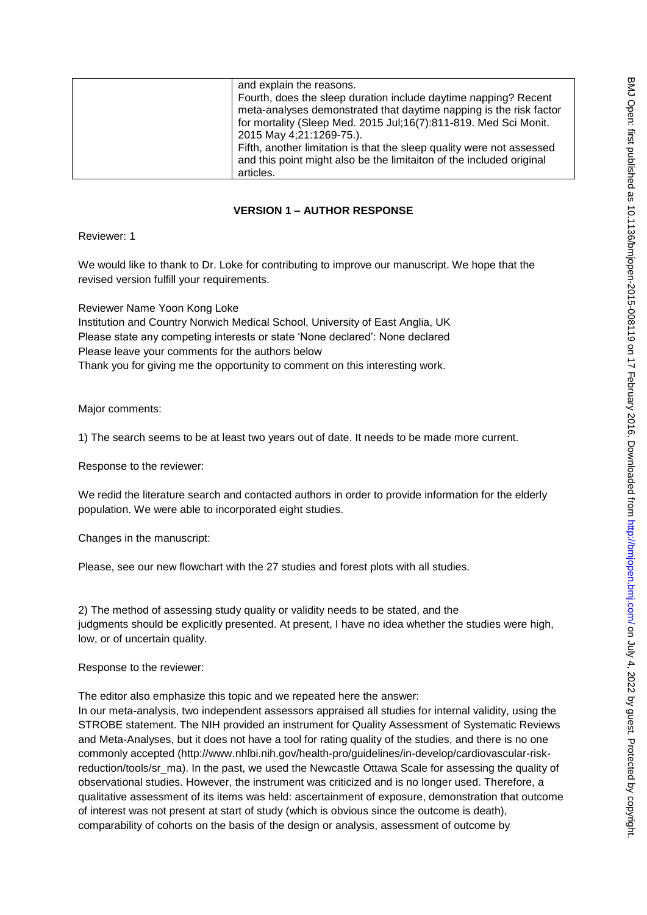| and explain the reasons.                                              |
|-----------------------------------------------------------------------|
| Fourth, does the sleep duration include daytime napping? Recent       |
| meta-analyses demonstrated that daytime napping is the risk factor    |
| for mortality (Sleep Med. 2015 Jul;16(7):811-819. Med Sci Monit.      |
| 2015 May 4;21:1269-75.).                                              |
| Fifth, another limitation is that the sleep quality were not assessed |
| and this point might also be the limitaiton of the included original  |
| articles.                                                             |

### **VERSION 1 – AUTHOR RESPONSE**

Reviewer: 1

We would like to thank to Dr. Loke for contributing to improve our manuscript. We hope that the revised version fulfill your requirements.

Reviewer Name Yoon Kong Loke Institution and Country Norwich Medical School, University of East Anglia, UK Please state any competing interests or state 'None declared': None declared Please leave your comments for the authors below Thank you for giving me the opportunity to comment on this interesting work.

Major comments:

1) The search seems to be at least two years out of date. It needs to be made more current.

Response to the reviewer:

We redid the literature search and contacted authors in order to provide information for the elderly population. We were able to incorporated eight studies.

Changes in the manuscript:

Please, see our new flowchart with the 27 studies and forest plots with all studies.

2) The method of assessing study quality or validity needs to be stated, and the judgments should be explicitly presented. At present, I have no idea whether the studies were high, low, or of uncertain quality.

Response to the reviewer:

The editor also emphasize this topic and we repeated here the answer:

In our meta-analysis, two independent assessors appraised all studies for internal validity, using the STROBE statement. The NIH provided an instrument for Quality Assessment of Systematic Reviews and Meta-Analyses, but it does not have a tool for rating quality of the studies, and there is no one commonly accepted (http://www.nhlbi.nih.gov/health-pro/guidelines/in-develop/cardiovascular-riskreduction/tools/sr\_ma). In the past, we used the Newcastle Ottawa Scale for assessing the quality of observational studies. However, the instrument was criticized and is no longer used. Therefore, a qualitative assessment of its items was held: ascertainment of exposure, demonstration that outcome of interest was not present at start of study (which is obvious since the outcome is death), comparability of cohorts on the basis of the design or analysis, assessment of outcome by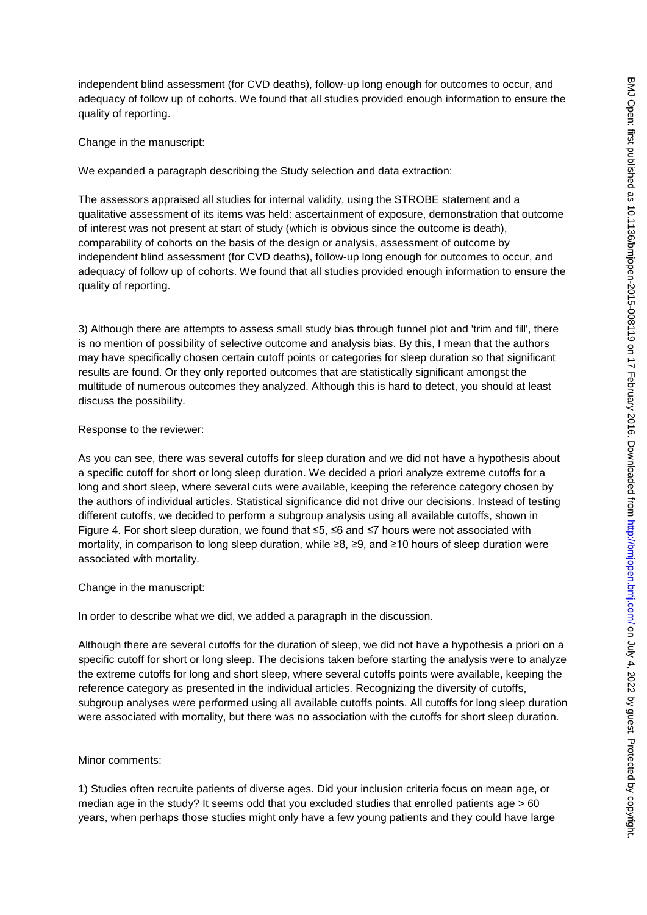independent blind assessment (for CVD deaths), follow-up long enough for outcomes to occur, and adequacy of follow up of cohorts. We found that all studies provided enough information to ensure the quality of reporting.

Change in the manuscript:

We expanded a paragraph describing the Study selection and data extraction:

The assessors appraised all studies for internal validity, using the STROBE statement and a qualitative assessment of its items was held: ascertainment of exposure, demonstration that outcome of interest was not present at start of study (which is obvious since the outcome is death), comparability of cohorts on the basis of the design or analysis, assessment of outcome by independent blind assessment (for CVD deaths), follow-up long enough for outcomes to occur, and adequacy of follow up of cohorts. We found that all studies provided enough information to ensure the quality of reporting.

3) Although there are attempts to assess small study bias through funnel plot and 'trim and fill', there is no mention of possibility of selective outcome and analysis bias. By this, I mean that the authors may have specifically chosen certain cutoff points or categories for sleep duration so that significant results are found. Or they only reported outcomes that are statistically significant amongst the multitude of numerous outcomes they analyzed. Although this is hard to detect, you should at least discuss the possibility.

### Response to the reviewer:

As you can see, there was several cutoffs for sleep duration and we did not have a hypothesis about a specific cutoff for short or long sleep duration. We decided a priori analyze extreme cutoffs for a long and short sleep, where several cuts were available, keeping the reference category chosen by the authors of individual articles. Statistical significance did not drive our decisions. Instead of testing different cutoffs, we decided to perform a subgroup analysis using all available cutoffs, shown in Figure 4. For short sleep duration, we found that ≤5, ≤6 and ≤7 hours were not associated with mortality, in comparison to long sleep duration, while ≥8, ≥9, and ≥10 hours of sleep duration were associated with mortality.

Change in the manuscript:

In order to describe what we did, we added a paragraph in the discussion.

Although there are several cutoffs for the duration of sleep, we did not have a hypothesis a priori on a specific cutoff for short or long sleep. The decisions taken before starting the analysis were to analyze the extreme cutoffs for long and short sleep, where several cutoffs points were available, keeping the reference category as presented in the individual articles. Recognizing the diversity of cutoffs, subgroup analyses were performed using all available cutoffs points. All cutoffs for long sleep duration were associated with mortality, but there was no association with the cutoffs for short sleep duration.

Minor comments:

1) Studies often recruite patients of diverse ages. Did your inclusion criteria focus on mean age, or median age in the study? It seems odd that you excluded studies that enrolled patients age > 60 years, when perhaps those studies might only have a few young patients and they could have large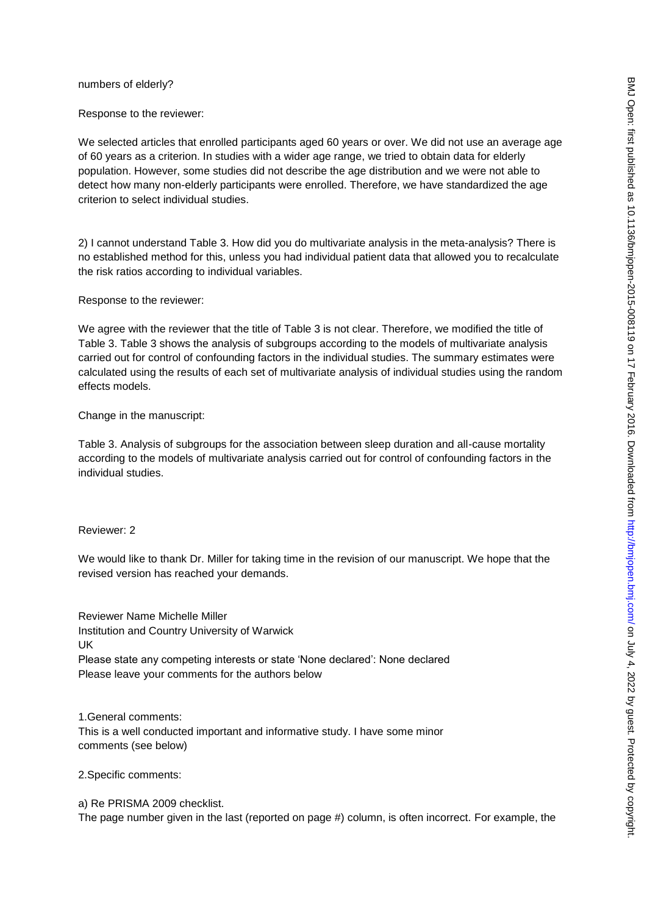#### numbers of elderly?

Response to the reviewer:

We selected articles that enrolled participants aged 60 years or over. We did not use an average age of 60 years as a criterion. In studies with a wider age range, we tried to obtain data for elderly population. However, some studies did not describe the age distribution and we were not able to detect how many non-elderly participants were enrolled. Therefore, we have standardized the age criterion to select individual studies.

2) I cannot understand Table 3. How did you do multivariate analysis in the meta-analysis? There is no established method for this, unless you had individual patient data that allowed you to recalculate the risk ratios according to individual variables.

Response to the reviewer:

We agree with the reviewer that the title of Table 3 is not clear. Therefore, we modified the title of Table 3. Table 3 shows the analysis of subgroups according to the models of multivariate analysis carried out for control of confounding factors in the individual studies. The summary estimates were calculated using the results of each set of multivariate analysis of individual studies using the random effects models.

Change in the manuscript:

Table 3. Analysis of subgroups for the association between sleep duration and all-cause mortality according to the models of multivariate analysis carried out for control of confounding factors in the individual studies.

Reviewer: 2

We would like to thank Dr. Miller for taking time in the revision of our manuscript. We hope that the revised version has reached your demands.

Reviewer Name Michelle Miller Institution and Country University of Warwick UK Please state any competing interests or state 'None declared': None declared Please leave your comments for the authors below

1.General comments: This is a well conducted important and informative study. I have some minor comments (see below)

2.Specific comments:

a) Re PRISMA 2009 checklist. The page number given in the last (reported on page #) column, is often incorrect. For example, the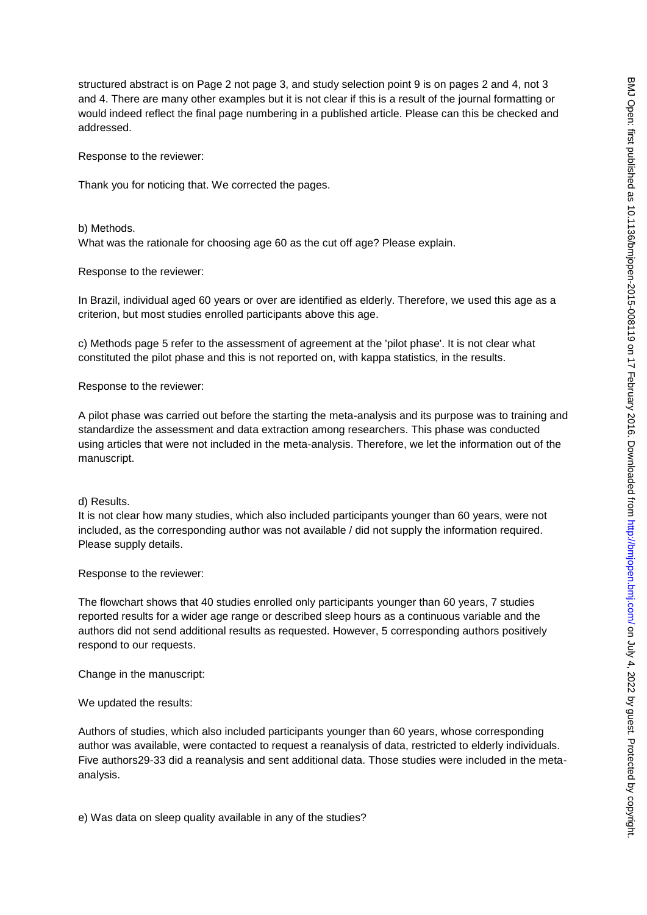structured abstract is on Page 2 not page 3, and study selection point 9 is on pages 2 and 4, not 3 and 4. There are many other examples but it is not clear if this is a result of the journal formatting or would indeed reflect the final page numbering in a published article. Please can this be checked and addressed.

Response to the reviewer:

Thank you for noticing that. We corrected the pages.

b) Methods.

What was the rationale for choosing age 60 as the cut off age? Please explain.

Response to the reviewer:

In Brazil, individual aged 60 years or over are identified as elderly. Therefore, we used this age as a criterion, but most studies enrolled participants above this age.

c) Methods page 5 refer to the assessment of agreement at the 'pilot phase'. It is not clear what constituted the pilot phase and this is not reported on, with kappa statistics, in the results.

Response to the reviewer:

A pilot phase was carried out before the starting the meta-analysis and its purpose was to training and standardize the assessment and data extraction among researchers. This phase was conducted using articles that were not included in the meta-analysis. Therefore, we let the information out of the manuscript.

d) Results.

It is not clear how many studies, which also included participants younger than 60 years, were not included, as the corresponding author was not available / did not supply the information required. Please supply details.

Response to the reviewer:

The flowchart shows that 40 studies enrolled only participants younger than 60 years, 7 studies reported results for a wider age range or described sleep hours as a continuous variable and the authors did not send additional results as requested. However, 5 corresponding authors positively respond to our requests.

Change in the manuscript:

We updated the results:

Authors of studies, which also included participants younger than 60 years, whose corresponding author was available, were contacted to request a reanalysis of data, restricted to elderly individuals. Five authors29-33 did a reanalysis and sent additional data. Those studies were included in the metaanalysis.

e) Was data on sleep quality available in any of the studies?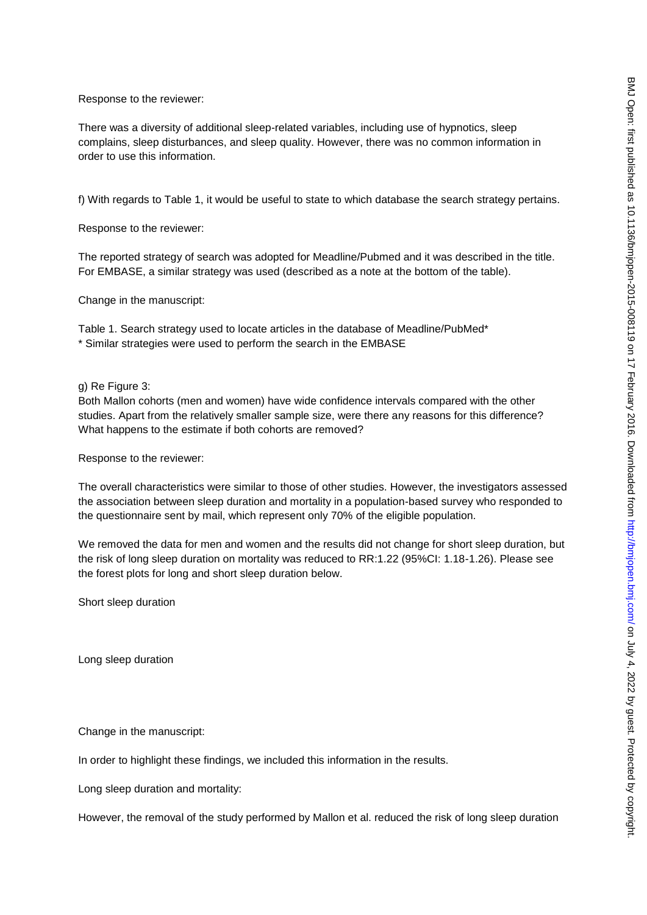Response to the reviewer:

There was a diversity of additional sleep-related variables, including use of hypnotics, sleep complains, sleep disturbances, and sleep quality. However, there was no common information in order to use this information.

f) With regards to Table 1, it would be useful to state to which database the search strategy pertains.

Response to the reviewer:

The reported strategy of search was adopted for Meadline/Pubmed and it was described in the title. For EMBASE, a similar strategy was used (described as a note at the bottom of the table).

Change in the manuscript:

Table 1. Search strategy used to locate articles in the database of Meadline/PubMed\* \* Similar strategies were used to perform the search in the EMBASE

g) Re Figure 3:

Both Mallon cohorts (men and women) have wide confidence intervals compared with the other studies. Apart from the relatively smaller sample size, were there any reasons for this difference? What happens to the estimate if both cohorts are removed?

Response to the reviewer:

The overall characteristics were similar to those of other studies. However, the investigators assessed the association between sleep duration and mortality in a population-based survey who responded to the questionnaire sent by mail, which represent only 70% of the eligible population.

We removed the data for men and women and the results did not change for short sleep duration, but the risk of long sleep duration on mortality was reduced to RR:1.22 (95%CI: 1.18-1.26). Please see the forest plots for long and short sleep duration below.

Short sleep duration

Long sleep duration

Change in the manuscript:

In order to highlight these findings, we included this information in the results.

Long sleep duration and mortality:

However, the removal of the study performed by Mallon et al. reduced the risk of long sleep duration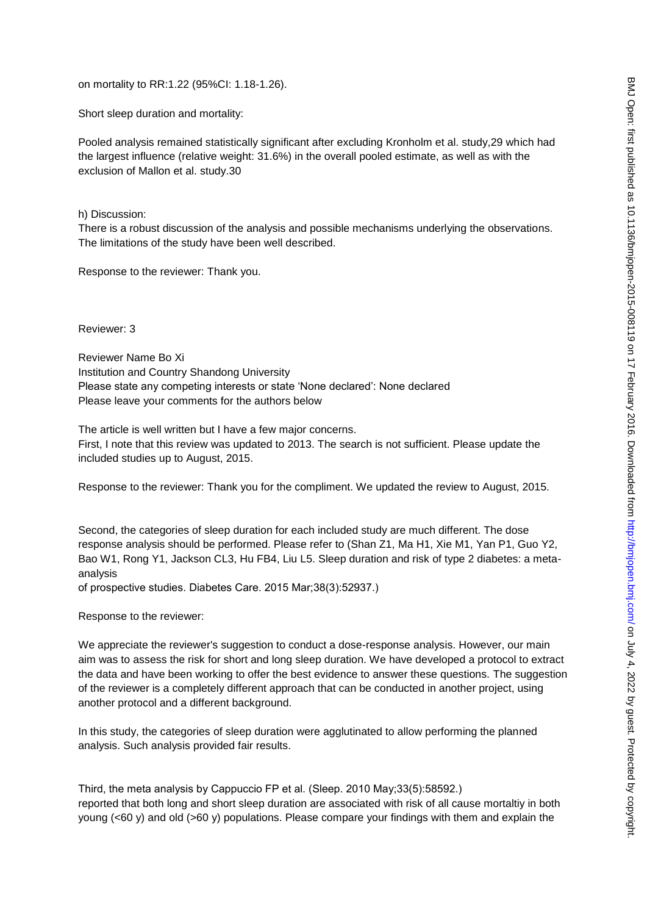on mortality to RR:1.22 (95%CI: 1.18-1.26).

Short sleep duration and mortality:

Pooled analysis remained statistically significant after excluding Kronholm et al. study,29 which had the largest influence (relative weight: 31.6%) in the overall pooled estimate, as well as with the exclusion of Mallon et al. study.30

h) Discussion:

There is a robust discussion of the analysis and possible mechanisms underlying the observations. The limitations of the study have been well described.

Response to the reviewer: Thank you.

Reviewer: 3

Reviewer Name Bo Xi Institution and Country Shandong University Please state any competing interests or state 'None declared': None declared Please leave your comments for the authors below

The article is well written but I have a few major concerns. First, I note that this review was updated to 2013. The search is not sufficient. Please update the included studies up to August, 2015.

Response to the reviewer: Thank you for the compliment. We updated the review to August, 2015.

Second, the categories of sleep duration for each included study are much different. The dose response analysis should be performed. Please refer to (Shan Z1, Ma H1, Xie M1, Yan P1, Guo Y2, Bao W1, Rong Y1, Jackson CL3, Hu FB4, Liu L5. Sleep duration and risk of type 2 diabetes: a metaanalysis

of prospective studies. Diabetes Care. 2015 Mar;38(3):52937.)

Response to the reviewer:

We appreciate the reviewer's suggestion to conduct a dose-response analysis. However, our main aim was to assess the risk for short and long sleep duration. We have developed a protocol to extract the data and have been working to offer the best evidence to answer these questions. The suggestion of the reviewer is a completely different approach that can be conducted in another project, using another protocol and a different background.

In this study, the categories of sleep duration were agglutinated to allow performing the planned analysis. Such analysis provided fair results.

Third, the meta analysis by Cappuccio FP et al. (Sleep. 2010 May;33(5):58592.) reported that both long and short sleep duration are associated with risk of all cause mortaltiy in both young (<60 y) and old (>60 y) populations. Please compare your findings with them and explain the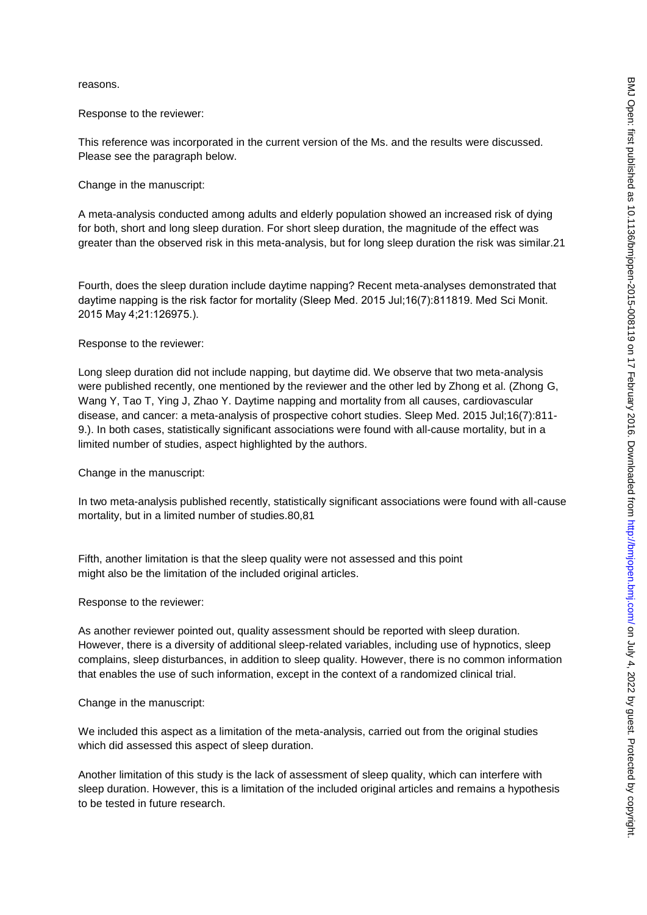reasons.

Response to the reviewer:

This reference was incorporated in the current version of the Ms. and the results were discussed. Please see the paragraph below.

Change in the manuscript:

A meta-analysis conducted among adults and elderly population showed an increased risk of dying for both, short and long sleep duration. For short sleep duration, the magnitude of the effect was greater than the observed risk in this meta-analysis, but for long sleep duration the risk was similar.21

Fourth, does the sleep duration include daytime napping? Recent meta-analyses demonstrated that daytime napping is the risk factor for mortality (Sleep Med. 2015 Jul;16(7):811819. Med Sci Monit. 2015 May 4;21:126975.).

Response to the reviewer:

Long sleep duration did not include napping, but daytime did. We observe that two meta-analysis were published recently, one mentioned by the reviewer and the other led by Zhong et al. (Zhong G, Wang Y, Tao T, Ying J, Zhao Y. Daytime napping and mortality from all causes, cardiovascular disease, and cancer: a meta-analysis of prospective cohort studies. Sleep Med. 2015 Jul;16(7):811- 9.). In both cases, statistically significant associations were found with all-cause mortality, but in a limited number of studies, aspect highlighted by the authors.

Change in the manuscript:

In two meta-analysis published recently, statistically significant associations were found with all-cause mortality, but in a limited number of studies.80,81

Fifth, another limitation is that the sleep quality were not assessed and this point might also be the limitation of the included original articles.

Response to the reviewer:

As another reviewer pointed out, quality assessment should be reported with sleep duration. However, there is a diversity of additional sleep-related variables, including use of hypnotics, sleep complains, sleep disturbances, in addition to sleep quality. However, there is no common information that enables the use of such information, except in the context of a randomized clinical trial.

Change in the manuscript:

We included this aspect as a limitation of the meta-analysis, carried out from the original studies which did assessed this aspect of sleep duration.

Another limitation of this study is the lack of assessment of sleep quality, which can interfere with sleep duration. However, this is a limitation of the included original articles and remains a hypothesis to be tested in future research.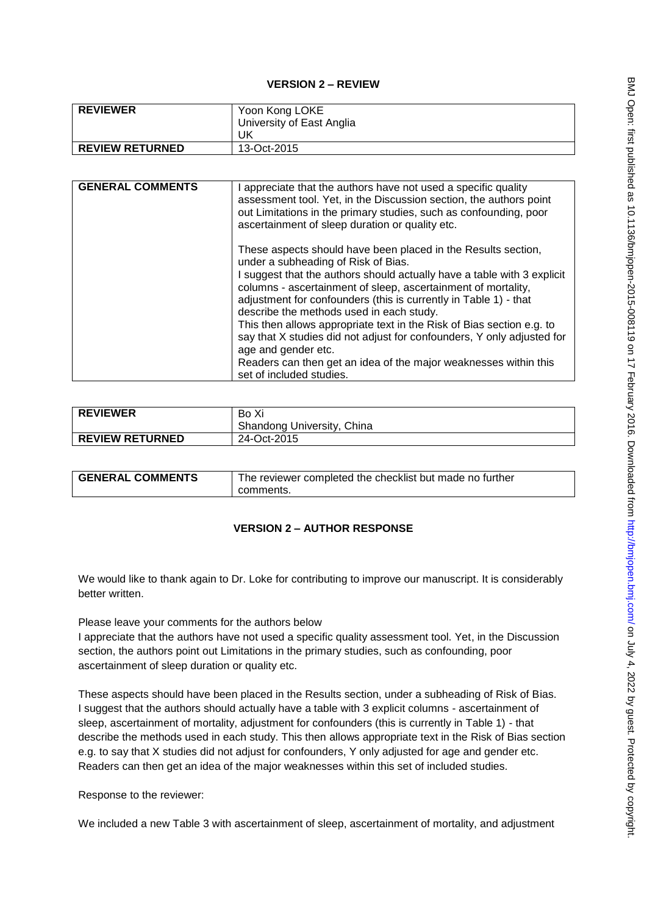### **VERSION 2 – REVIEW**

| <b>REVIEWER</b>        | Yoon Kong LOKE            |
|------------------------|---------------------------|
|                        | University of East Anglia |
|                        | UK                        |
| <b>REVIEW RETURNED</b> | 13-Oct-2015               |

| <b>GENERAL COMMENTS</b> | I appreciate that the authors have not used a specific quality<br>assessment tool. Yet, in the Discussion section, the authors point<br>out Limitations in the primary studies, such as confounding, poor<br>ascertainment of sleep duration or quality etc.                                                                                                                                                                                                                                                                                                                                                                               |
|-------------------------|--------------------------------------------------------------------------------------------------------------------------------------------------------------------------------------------------------------------------------------------------------------------------------------------------------------------------------------------------------------------------------------------------------------------------------------------------------------------------------------------------------------------------------------------------------------------------------------------------------------------------------------------|
|                         | These aspects should have been placed in the Results section,<br>under a subheading of Risk of Bias.<br>I suggest that the authors should actually have a table with 3 explicit<br>columns - ascertainment of sleep, ascertainment of mortality,<br>adjustment for confounders (this is currently in Table 1) - that<br>describe the methods used in each study.<br>This then allows appropriate text in the Risk of Bias section e.g. to<br>say that X studies did not adjust for confounders, Y only adjusted for<br>age and gender etc.<br>Readers can then get an idea of the major weaknesses within this<br>set of included studies. |

| <b>REVIEWER</b>        | Bo Xi<br>Shandong University, China |
|------------------------|-------------------------------------|
| <b>REVIEW RETURNED</b> | 24-Oct-2015                         |

| <b>GENERAL COMMENTS</b> | The reviewer completed the checklist but made no further |
|-------------------------|----------------------------------------------------------|
|                         | comments.                                                |

# **VERSION 2 – AUTHOR RESPONSE**

We would like to thank again to Dr. Loke for contributing to improve our manuscript. It is considerably better written.

Please leave your comments for the authors below

I appreciate that the authors have not used a specific quality assessment tool. Yet, in the Discussion section, the authors point out Limitations in the primary studies, such as confounding, poor ascertainment of sleep duration or quality etc.

These aspects should have been placed in the Results section, under a subheading of Risk of Bias. I suggest that the authors should actually have a table with 3 explicit columns - ascertainment of sleep, ascertainment of mortality, adjustment for confounders (this is currently in Table 1) - that describe the methods used in each study. This then allows appropriate text in the Risk of Bias section e.g. to say that X studies did not adjust for confounders, Y only adjusted for age and gender etc. Readers can then get an idea of the major weaknesses within this set of included studies.

Response to the reviewer:

We included a new Table 3 with ascertainment of sleep, ascertainment of mortality, and adjustment